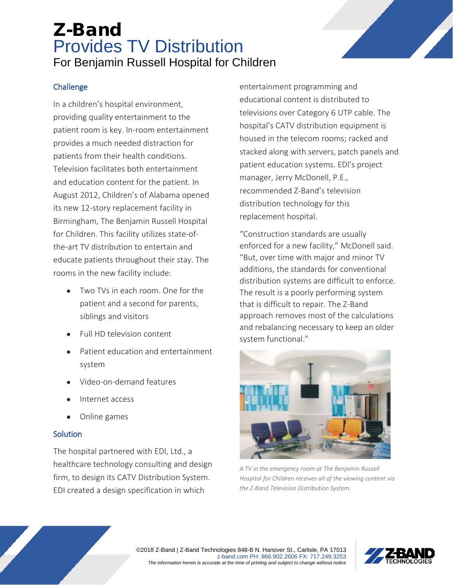# Z-Band Provides TV Distribution For Benjamin Russell Hospital for Children

### **Challenge**

In a children's hospital environment, providing quality entertainment to the patient room is key. In-room entertainment provides a much needed distraction for patients from their health conditions. Television facilitates both entertainment and education content for the patient. In August 2012, Children's of Alabama opened its new 12-story replacement facility in Birmingham, The Benjamin Russell Hospital for Children. This facility utilizes state-ofthe-art TV distribution to entertain and educate patients throughout their stay. The rooms in the new facility include:

- Two TVs in each room. One for the patient and a second for parents, siblings and visitors
- Full HD television content
- Patient education and entertainment system
- Video-on-demand features
- Internet access
- Online games

#### **Solution**

The hospital partnered with EDI, Ltd., a healthcare technology consulting and design firm, to design its CATV Distribution System. EDI created a design specification in which

entertainment programming and educational content is distributed to televisions over Category 6 UTP cable. The hospital's CATV distribution equipment is housed in the telecom rooms; racked and stacked along with servers, patch panels and patient education systems. EDl's project manager, Jerry McDonell, P.E., recommended Z-Band's television distribution technology for this replacement hospital.

"Construction standards are usually enforced for a new facility," McDonell said. "But, over time with major and minor TV additions, the standards for conventional distribution systems are difficult to enforce. The result is a poorly performing system that is difficult to repair. The Z-Band approach removes most of the calculations and rebalancing necessary to keep an older system functional."



*A TV in the emergency room at The Benjamin Russell Hospital for Children receives all of the viewing content via the Z-Band Television Distribution System.*